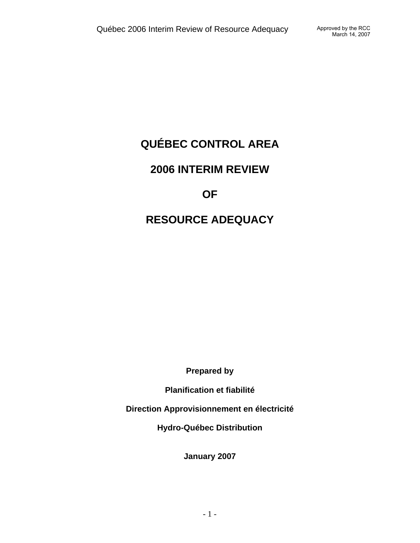# **QUÉBEC CONTROL AREA**

## **2006 INTERIM REVIEW**

## **OF**

## **RESOURCE ADEQUACY**

**Prepared by** 

**Planification et fiabilité** 

**Direction Approvisionnement en électricité** 

**Hydro-Québec Distribution** 

**January 2007**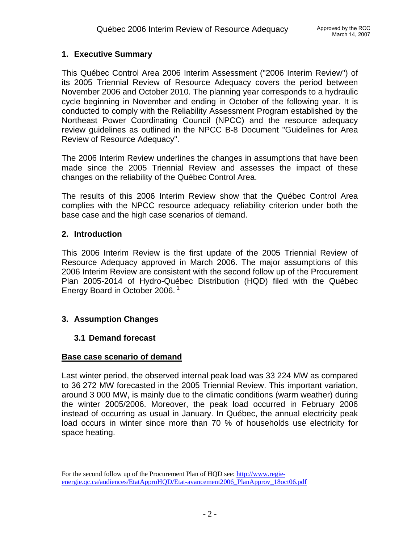### **1. Executive Summary**

This Québec Control Area 2006 Interim Assessment ("2006 Interim Review") of its 2005 Triennial Review of Resource Adequacy covers the period between November 2006 and October 2010. The planning year corresponds to a hydraulic cycle beginning in November and ending in October of the following year. It is conducted to comply with the Reliability Assessment Program established by the Northeast Power Coordinating Council (NPCC) and the resource adequacy review guidelines as outlined in the NPCC B-8 Document "Guidelines for Area Review of Resource Adequacy".

The 2006 Interim Review underlines the changes in assumptions that have been made since the 2005 Triennial Review and assesses the impact of these changes on the reliability of the Québec Control Area.

The results of this 2006 Interim Review show that the Québec Control Area complies with the NPCC resource adequacy reliability criterion under both the base case and the high case scenarios of demand.

### **2. Introduction**

 $\overline{a}$ 

This 2006 Interim Review is the first update of the 2005 Triennial Review of Resource Adequacy approved in March 2006. The major assumptions of this 2006 Interim Review are consistent with the second follow up of the Procurement Plan 2005-2014 of Hydro-Québec Distribution (HQD) filed with the Québec Energy Board in October 2006.<sup>1</sup>

## **3. Assumption Changes**

### **3.1 Demand forecast**

### **Base case scenario of demand**

Last winter period, the observed internal peak load was 33 224 MW as compared to 36 272 MW forecasted in the 2005 Triennial Review. This important variation, around 3 000 MW, is mainly due to the climatic conditions (warm weather) during the winter 2005/2006. Moreover, the peak load occurred in February 2006 instead of occurring as usual in January. In Québec, the annual electricity peak load occurs in winter since more than 70 % of households use electricity for space heating.

For the second follow up of the Procurement Plan of HQD see: http://www.regieenergie.qc.ca/audiences/EtatApproHQD/Etat-avancement2006\_PlanApprov\_18oct06.pdf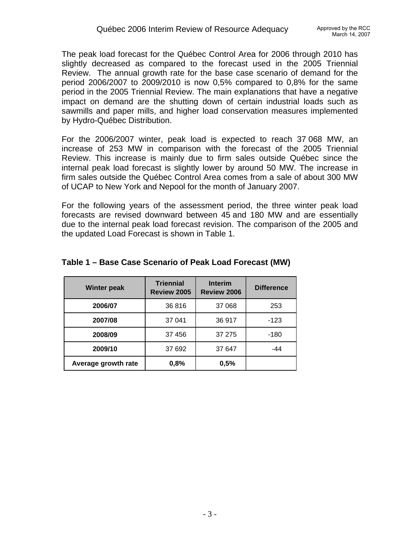The peak load forecast for the Québec Control Area for 2006 through 2010 has slightly decreased as compared to the forecast used in the 2005 Triennial Review. The annual growth rate for the base case scenario of demand for the period 2006/2007 to 2009/2010 is now 0,5% compared to 0,8% for the same period in the 2005 Triennial Review. The main explanations that have a negative impact on demand are the shutting down of certain industrial loads such as sawmills and paper mills, and higher load conservation measures implemented by Hydro-Québec Distribution.

For the 2006/2007 winter, peak load is expected to reach 37 068 MW, an increase of 253 MW in comparison with the forecast of the 2005 Triennial Review. This increase is mainly due to firm sales outside Québec since the internal peak load forecast is slightly lower by around 50 MW. The increase in firm sales outside the Québec Control Area comes from a sale of about 300 MW of UCAP to New York and Nepool for the month of January 2007.

For the following years of the assessment period, the three winter peak load forecasts are revised downward between 45 and 180 MW and are essentially due to the internal peak load forecast revision. The comparison of the 2005 and the updated Load Forecast is shown in Table 1.

| <b>Winter peak</b>  | <b>Triennial</b><br>Review 2005 | <b>Interim</b><br><b>Review 2006</b> | <b>Difference</b> |  |
|---------------------|---------------------------------|--------------------------------------|-------------------|--|
| 2006/07             | 36816                           | 37 068                               | 253               |  |
| 2007/08             | 37 041                          | 36 917                               | $-123$            |  |
| 2008/09             | 37 456                          | 37 275                               | -180              |  |
| 2009/10             | 37 692                          | 37 647                               | $-44$             |  |
| Average growth rate | 0,8%                            | 0,5%                                 |                   |  |

### **Table 1 – Base Case Scenario of Peak Load Forecast (MW)**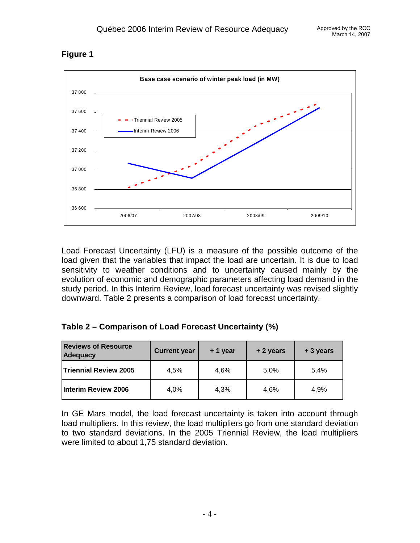



Load Forecast Uncertainty (LFU) is a measure of the possible outcome of the load given that the variables that impact the load are uncertain. It is due to load sensitivity to weather conditions and to uncertainty caused mainly by the evolution of economic and demographic parameters affecting load demand in the study period. In this Interim Review, load forecast uncertainty was revised slightly downward. Table 2 presents a comparison of load forecast uncertainty.

|  |  | Table 2 – Comparison of Load Forecast Uncertainty (%) |  |
|--|--|-------------------------------------------------------|--|
|--|--|-------------------------------------------------------|--|

| <b>Reviews of Resource</b><br><b>Adequacy</b> | <b>Current year</b> | + 1 year | + 2 years | + 3 years |  |
|-----------------------------------------------|---------------------|----------|-----------|-----------|--|
| <b>Triennial Review 2005</b>                  | 4.5%                | 4.6%     | 5.0%      | 5.4%      |  |
| Interim Review 2006                           | 4.0%                | 4.3%     | 4.6%      | 4.9%      |  |

In GE Mars model, the load forecast uncertainty is taken into account through load multipliers. In this review, the load multipliers go from one standard deviation to two standard deviations. In the 2005 Triennial Review, the load multipliers were limited to about 1,75 standard deviation.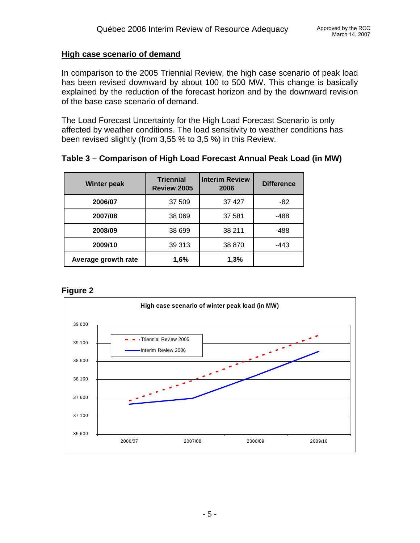#### **High case scenario of demand**

In comparison to the 2005 Triennial Review, the high case scenario of peak load has been revised downward by about 100 to 500 MW. This change is basically explained by the reduction of the forecast horizon and by the downward revision of the base case scenario of demand.

The Load Forecast Uncertainty for the High Load Forecast Scenario is only affected by weather conditions. The load sensitivity to weather conditions has been revised slightly (from 3,55 % to 3,5 %) in this Review.

### **Table 3 – Comparison of High Load Forecast Annual Peak Load (in MW)**

| <b>Winter peak</b>  | <b>Triennial</b><br>Review 2005 | <b>Interim Review</b><br>2006 | <b>Difference</b> |  |
|---------------------|---------------------------------|-------------------------------|-------------------|--|
| 2006/07             | 37 509                          | 37 427                        | -82               |  |
| 2007/08             | 38 069                          | 37 581                        | -488              |  |
| 2008/09             | 38 699                          | 38 211                        | -488              |  |
| 2009/10             | 39 313                          | 38 870                        | -443              |  |
| Average growth rate | 1,6%                            | 1,3%                          |                   |  |

### **Figure 2**

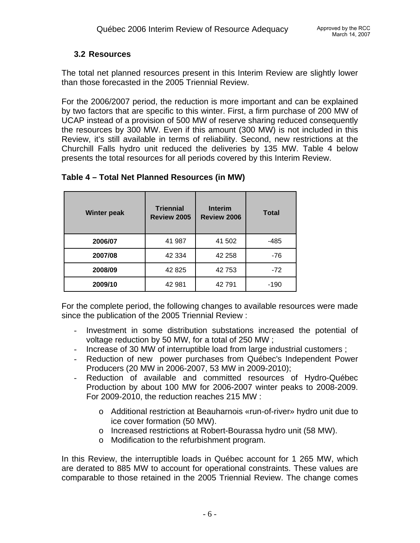## **3.2 Resources**

The total net planned resources present in this Interim Review are slightly lower than those forecasted in the 2005 Triennial Review.

For the 2006/2007 period, the reduction is more important and can be explained by two factors that are specific to this winter. First, a firm purchase of 200 MW of UCAP instead of a provision of 500 MW of reserve sharing reduced consequently the resources by 300 MW. Even if this amount (300 MW) is not included in this Review, it's still available in terms of reliability. Second, new restrictions at the Churchill Falls hydro unit reduced the deliveries by 135 MW. Table 4 below presents the total resources for all periods covered by this Interim Review.

| <b>Winter peak</b> | <b>Triennial</b><br>Review 2005 | <b>Interim</b><br><b>Review 2006</b> | <b>Total</b> |
|--------------------|---------------------------------|--------------------------------------|--------------|
| 2006/07            | 41 987                          | 41 502                               | -485         |
| 2007/08            | 42 3 34                         | 42 258                               | -76          |
| 2008/09            | 42 8 25                         | 42 753                               | $-72$        |
| 2009/10            | 42 981                          | 42791                                | $-190$       |

## **Table 4 – Total Net Planned Resources (in MW)**

For the complete period, the following changes to available resources were made since the publication of the 2005 Triennial Review :

- Investment in some distribution substations increased the potential of voltage reduction by 50 MW, for a total of 250 MW ;
- Increase of 30 MW of interruptible load from large industrial customers ;
- Reduction of new power purchases from Québec's Independent Power Producers (20 MW in 2006-2007, 53 MW in 2009-2010);
- Reduction of available and committed resources of Hydro-Québec Production by about 100 MW for 2006-2007 winter peaks to 2008-2009. For 2009-2010, the reduction reaches 215 MW :
	- o Additional restriction at Beauharnois «run-of-river» hydro unit due to ice cover formation (50 MW).
	- o Increased restrictions at Robert-Bourassa hydro unit (58 MW).
	- o Modification to the refurbishment program.

In this Review, the interruptible loads in Québec account for 1 265 MW, which are derated to 885 MW to account for operational constraints. These values are comparable to those retained in the 2005 Triennial Review. The change comes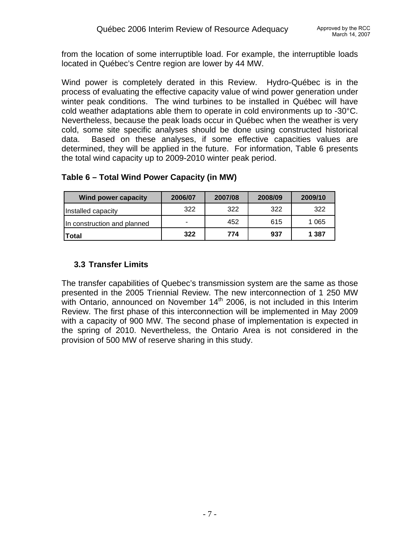from the location of some interruptible load. For example, the interruptible loads located in Québec's Centre region are lower by 44 MW.

Wind power is completely derated in this Review. Hydro-Québec is in the process of evaluating the effective capacity value of wind power generation under winter peak conditions. The wind turbines to be installed in Québec will have cold weather adaptations able them to operate in cold environments up to -30°C. Nevertheless, because the peak loads occur in Québec when the weather is very cold, some site specific analyses should be done using constructed historical data. Based on these analyses, if some effective capacities values are determined, they will be applied in the future. For information, Table 6 presents the total wind capacity up to 2009-2010 winter peak period.

## **Table 6 – Total Wind Power Capacity (in MW)**

| Wind power capacity         | 2006/07 | 2007/08 | 2008/09 | 2009/10 |
|-----------------------------|---------|---------|---------|---------|
| Installed capacity          | 322     | 322     | 322     | 322     |
| In construction and planned | -       | 452     | 615     | 1 0 6 5 |
| <b>Total</b>                | 322     | 774     | 937     | 1 387   |

## **3.3 Transfer Limits**

The transfer capabilities of Quebec's transmission system are the same as those presented in the 2005 Triennial Review. The new interconnection of 1 250 MW with Ontario, announced on November  $14<sup>th</sup>$  2006, is not included in this Interim Review. The first phase of this interconnection will be implemented in May 2009 with a capacity of 900 MW. The second phase of implementation is expected in the spring of 2010. Nevertheless, the Ontario Area is not considered in the provision of 500 MW of reserve sharing in this study.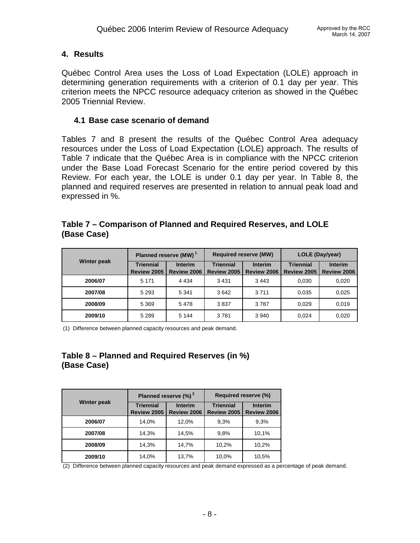### **4. Results**

Québec Control Area uses the Loss of Load Expectation (LOLE) approach in determining generation requirements with a criterion of 0.1 day per year. This criterion meets the NPCC resource adequacy criterion as showed in the Québec 2005 Triennial Review.

### **4.1 Base case scenario of demand**

Tables 7 and 8 present the results of the Québec Control Area adequacy resources under the Loss of Load Expectation (LOLE) approach. The results of Table 7 indicate that the Québec Area is in compliance with the NPCC criterion under the Base Load Forecast Scenario for the entire period covered by this Review. For each year, the LOLE is under 0.1 day per year. In Table 8, the planned and required reserves are presented in relation to annual peak load and expressed in %.

### **Table 7 – Comparison of Planned and Required Reserves, and LOLE (Base Case)**

|                    |                                 | Planned reserve (MW) <sup>1</sup> | LOLE (Day/year)<br><b>Required reserve (MW)</b> |                               |                                 |                               |
|--------------------|---------------------------------|-----------------------------------|-------------------------------------------------|-------------------------------|---------------------------------|-------------------------------|
| <b>Winter peak</b> | <b>Triennial</b><br>Review 2005 | <b>Interim</b><br>Review 2006     | <b>Triennial</b><br>Review 2005                 | <b>Interim</b><br>Review 2006 | <b>Triennial</b><br>Review 2005 | <b>Interim</b><br>Review 2006 |
| 2006/07            | 5 1 7 1                         | 4 4 3 4                           | 3431                                            | 3443                          | 0.030                           | 0,020                         |
| 2007/08            | 5 2 9 3                         | 5 3 4 1                           | 3642                                            | 3711                          | 0.035                           | 0,025                         |
| 2008/09            | 5 3 6 9                         | 5478                              | 3837                                            | 3787                          | 0.029                           | 0,019                         |
| 2009/10            | 5 2 8 9                         | 5 1 4 4                           | 3781                                            | 3 9 4 0                       | 0.024                           | 0,020                         |

(1) Difference between planned capacity resources and peak demand.

## **Table 8 – Planned and Required Reserves (in %) (Base Case)**

|                    |                                 | Planned reserve $(\%)^2$      | Required reserve (%)            |                               |  |
|--------------------|---------------------------------|-------------------------------|---------------------------------|-------------------------------|--|
| <b>Winter peak</b> | <b>Triennial</b><br>Review 2005 | <b>Interim</b><br>Review 2006 | <b>Triennial</b><br>Review 2005 | <b>Interim</b><br>Review 2006 |  |
| 2006/07            | 14,0%                           | 12,0%                         | 9.3%                            | 9,3%                          |  |
| 2007/08            | 14,3%                           | 14,5%                         | 9,8%                            | 10,1%                         |  |
| 2008/09            | 14.3%                           | 14,7%                         | 10,2%                           | 10,2%                         |  |
| 2009/10            | 14,0%                           | 13,7%                         | 10,0%                           | 10,5%                         |  |

(2) Difference between planned capacity resources and peak demand expressed as a percentage of peak demand.